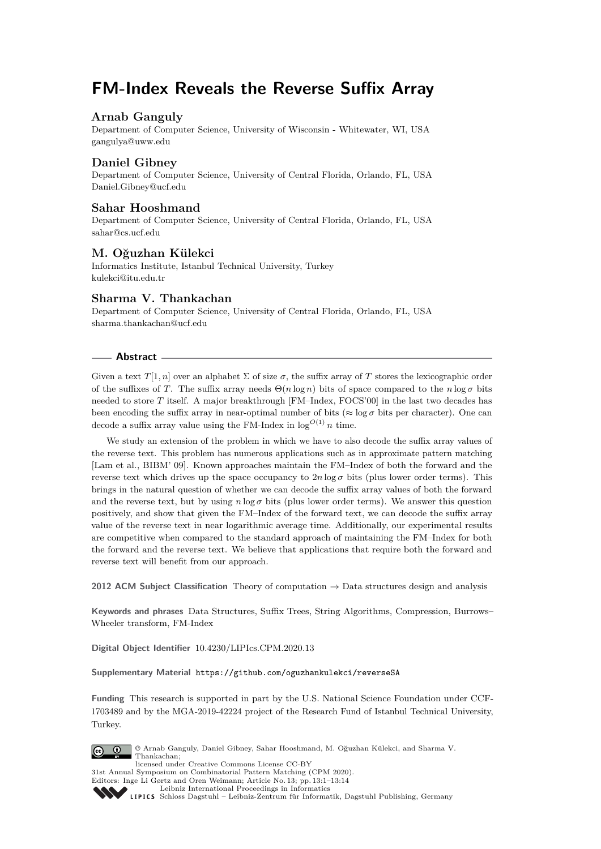# **FM-Index Reveals the Reverse Suffix Array**

## **Arnab Ganguly**

Department of Computer Science, University of Wisconsin - Whitewater, WI, USA [gangulya@uww.edu](mailto:gangulya@uww.edu)

## **Daniel Gibney**

Department of Computer Science, University of Central Florida, Orlando, FL, USA [Daniel.Gibney@ucf.edu](mailto:Daniel.Gibney@ucf.edu)

# **Sahar Hooshmand**

Department of Computer Science, University of Central Florida, Orlando, FL, USA [sahar@cs.ucf.edu](mailto:sahar@cs.ucf.edu)

# **M. Oğuzhan Külekci**

Informatics Institute, Istanbul Technical University, Turkey [kulekci@itu.edu.tr](mailto:kulekci@itu.edu.tr)

## **Sharma V. Thankachan**

Department of Computer Science, University of Central Florida, Orlando, FL, USA [sharma.thankachan@ucf.edu](mailto:sharma.thankachan@ucf.edu)

### **Abstract**

Given a text  $T[1, n]$  over an alphabet  $\Sigma$  of size  $\sigma$ , the suffix array of T stores the lexicographic order of the suffixes of *T*. The suffix array needs  $\Theta(n \log n)$  bits of space compared to the *n* log *σ* bits needed to store *T* itself. A major breakthrough [FM–Index, FOCS'00] in the last two decades has been encoding the suffix array in near-optimal number of bits ( $\approx \log \sigma$  bits per character). One can decode a suffix array value using the FM-Index in  $log^{O(1)} n$  time.

We study an extension of the problem in which we have to also decode the suffix array values of the reverse text. This problem has numerous applications such as in approximate pattern matching [Lam et al., BIBM' 09]. Known approaches maintain the FM–Index of both the forward and the reverse text which drives up the space occupancy to  $2n \log \sigma$  bits (plus lower order terms). This brings in the natural question of whether we can decode the suffix array values of both the forward and the reverse text, but by using  $n \log \sigma$  bits (plus lower order terms). We answer this question positively, and show that given the FM–Index of the forward text, we can decode the suffix array value of the reverse text in near logarithmic average time. Additionally, our experimental results are competitive when compared to the standard approach of maintaining the FM–Index for both the forward and the reverse text. We believe that applications that require both the forward and reverse text will benefit from our approach.

**2012 ACM Subject Classification** Theory of computation → Data structures design and analysis

**Keywords and phrases** Data Structures, Suffix Trees, String Algorithms, Compression, Burrows– Wheeler transform, FM-Index

**Digital Object Identifier** [10.4230/LIPIcs.CPM.2020.13](https://doi.org/10.4230/LIPIcs.CPM.2020.13)

**Supplementary Material** <https://github.com/oguzhankulekci/reverseSA>

**Funding** This research is supported in part by the U.S. National Science Foundation under CCF-1703489 and by the MGA-2019-42224 project of the Research Fund of Istanbul Technical University, Turkey.



© Arnab Ganguly, Daniel Gibney, Sahar Hooshmand, M. Oğuzhan Külekci, and Sharma V. Thankachan; licensed under Creative Commons License CC-BY

31st Annual Symposium on Combinatorial Pattern Matching (CPM 2020). Editors: Inge Li Gørtz and Oren Weimann; Article No. 13; pp. 13:1–13[:14](#page-13-0) [Leibniz International Proceedings in Informatics](https://www.dagstuhl.de/lipics/)

[Schloss Dagstuhl – Leibniz-Zentrum für Informatik, Dagstuhl Publishing, Germany](https://www.dagstuhl.de)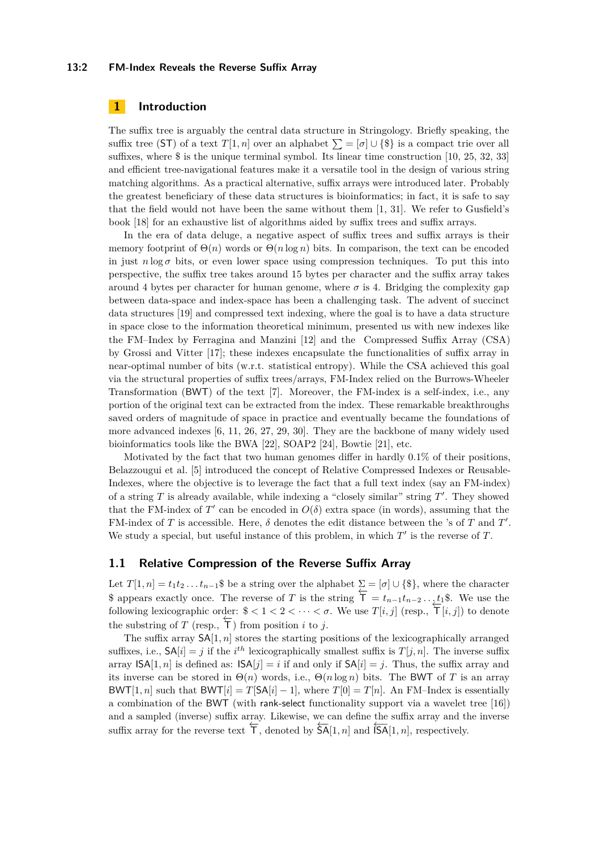### **13:2 FM-Index Reveals the Reverse Suffix Array**

# **1 Introduction**

The suffix tree is arguably the central data structure in Stringology. Briefly speaking, the suffix tree (ST) of a text  $T[1, n]$  over an alphabet  $\Sigma = [\sigma] \cup {\{\$\}$  is a compact trie over all suffixes, where  $\$ is the unique terminal symbol. Its linear time construction [\[10,](#page-12-0) [25,](#page-13-1) [32,](#page-13-2) [33\]](#page-13-3) and efficient tree-navigational features make it a versatile tool in the design of various string matching algorithms. As a practical alternative, suffix arrays were introduced later. Probably the greatest beneficiary of these data structures is bioinformatics; in fact, it is safe to say that the field would not have been the same without them [\[1,](#page-11-0) [31\]](#page-13-4). We refer to Gusfield's book [\[18\]](#page-12-1) for an exhaustive list of algorithms aided by suffix trees and suffix arrays.

In the era of data deluge, a negative aspect of suffix trees and suffix arrays is their memory footprint of  $\Theta(n)$  words or  $\Theta(n \log n)$  bits. In comparison, the text can be encoded in just  $n \log \sigma$  bits, or even lower space using compression techniques. To put this into perspective, the suffix tree takes around 15 bytes per character and the suffix array takes around 4 bytes per character for human genome, where  $\sigma$  is 4. Bridging the complexity gap between data-space and index-space has been a challenging task. The advent of succinct data structures [\[19\]](#page-12-2) and compressed text indexing, where the goal is to have a data structure in space close to the information theoretical minimum, presented us with new indexes like the FM–Index by Ferragina and Manzini [\[12\]](#page-12-3) and the Compressed Suffix Array (CSA) by Grossi and Vitter [\[17\]](#page-12-4); these indexes encapsulate the functionalities of suffix array in near-optimal number of bits (w.r.t. statistical entropy). While the CSA achieved this goal via the structural properties of suffix trees/arrays, FM-Index relied on the Burrows-Wheeler Transformation (BWT) of the text [\[7\]](#page-12-5). Moreover, the FM-index is a self-index, i.e., any portion of the original text can be extracted from the index. These remarkable breakthroughs saved orders of magnitude of space in practice and eventually became the foundations of more advanced indexes [\[6,](#page-12-6) [11,](#page-12-7) [26,](#page-13-5) [27,](#page-13-6) [29,](#page-13-7) [30\]](#page-13-8). They are the backbone of many widely used bioinformatics tools like the BWA [\[22\]](#page-12-8), SOAP2 [\[24\]](#page-13-9), Bowtie [\[21\]](#page-12-9), etc.

Motivated by the fact that two human genomes differ in hardly 0*.*1% of their positions, Belazzougui et al. [\[5\]](#page-11-1) introduced the concept of Relative Compressed Indexes or Reusable-Indexes, where the objective is to leverage the fact that a full text index (say an FM-index) of a string  $T$  is already available, while indexing a "closely similar" string  $T'$ . They showed that the FM-index of  $T'$  can be encoded in  $O(\delta)$  extra space (in words), assuming that the FM-index of *T* is accessible. Here,  $\delta$  denotes the edit distance between the 's of *T* and *T'*. We study a special, but useful instance of this problem, in which  $T'$  is the reverse of  $T$ .

## **1.1 Relative Compression of the Reverse Suffix Array**

Let  $T[1, n] = t_1 t_2 \dots t_{n-1}$ \$ be a string over the alphabet  $\Sigma = [\sigma] \cup {\{\$\}$ , where the character \$ appears exactly once. The reverse of *T* is the string  $\overline{T} = t_{n-1}t_{n-2} \dots t_1$ \$. We use the following lexicographic order:  $\frac{1}{2}$  *s*  $\frac{1}{2}$  *s* one string  $\frac{1}{2}$  *i*  $\frac{1}{2}$   $\cdots$   $\frac{1}{2}$   $\cdots$   $\frac{1}{2}$   $\cdots$   $\frac{1}{2}$   $\cdots$   $\frac{1}{2}$   $\cdots$   $\frac{1}{2}$   $\cdots$   $\frac{1}{2}$   $\cdots$   $\frac{1}{2}$   $\cdots$   $\frac{1}{2}$ the substring of *T* (resp.,  $\overline{T}$ ) from position *i* to *j*.

The suffix array  $SA[1, n]$  stores the starting positions of the lexicographically arranged suffixes, i.e.,  $SA[i] = j$  if the *i*<sup>th</sup> lexicographically smallest suffix is  $T[j, n]$ . The inverse suffix array  $|SA[1, n]$  is defined as:  $|SA[j] = i$  if and only if  $SA[i] = j$ . Thus, the suffix array and its inverse can be stored in  $\Theta(n)$  words, i.e.,  $\Theta(n \log n)$  bits. The BWT of *T* is an array BWT[1, n] such that BWT[i] = T[SA[i] – 1], where  $T[0] = T[n]$ . An FM–Index is essentially a combination of the BWT (with rank-select functionality support via a wavelet tree [\[16\]](#page-12-10)) and a sampled (inverse) suffix array. Likewise, we can define the suffix array and the inverse suffix array for the reverse text  $\overleftarrow{+}$ , denoted by  $\overleftarrow{SA}[1, n]$  and  $\overleftarrow{ISA}[1, n]$ , respectively.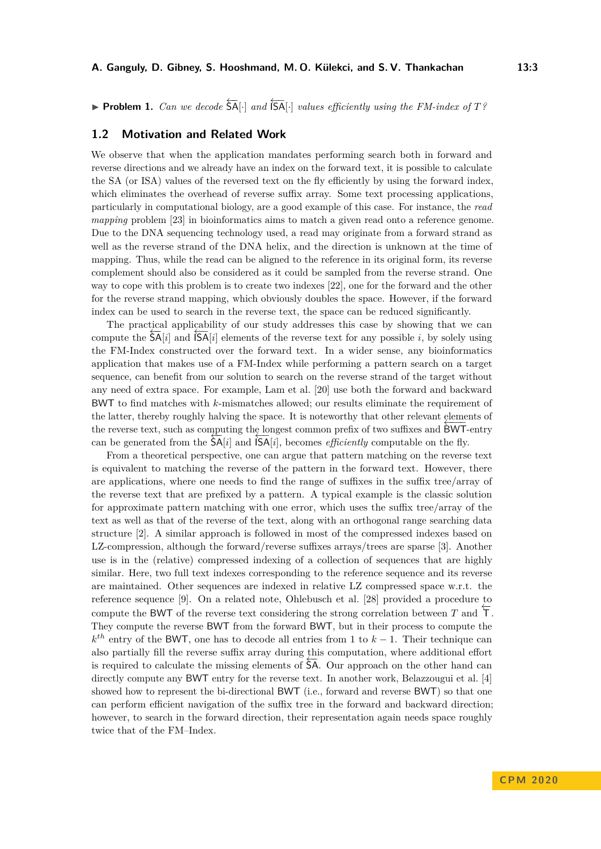► **Problem 1.** *Can we decode*  $\overleftarrow{SA}[\cdot]$  *and*  $\overleftarrow{SA}[\cdot]$  *values efficiently using the FM-index of*  $T^{\circ}$ ?

### **1.2 Motivation and Related Work**

We observe that when the application mandates performing search both in forward and reverse directions and we already have an index on the forward text, it is possible to calculate the SA (or ISA) values of the reversed text on the fly efficiently by using the forward index, which eliminates the overhead of reverse suffix array. Some text processing applications, particularly in computational biology, are a good example of this case. For instance, the *read mapping* problem [\[23\]](#page-13-10) in bioinformatics aims to match a given read onto a reference genome. Due to the DNA sequencing technology used, a read may originate from a forward strand as well as the reverse strand of the DNA helix, and the direction is unknown at the time of mapping. Thus, while the read can be aligned to the reference in its original form, its reverse complement should also be considered as it could be sampled from the reverse strand. One way to cope with this problem is to create two indexes [\[22\]](#page-12-8), one for the forward and the other for the reverse strand mapping, which obviously doubles the space. However, if the forward index can be used to search in the reverse text, the space can be reduced significantly.

The practical applicability of our study addresses this case by showing that we can compute the  $\overline{SA}[i]$  and  $\overline{ISA}[i]$  elements of the reverse text for any possible *i*, by solely using the FM-Index constructed over the forward text. In a wider sense, any bioinformatics application that makes use of a FM-Index while performing a pattern search on a target sequence, can benefit from our solution to search on the reverse strand of the target without any need of extra space. For example, Lam et al. [\[20\]](#page-12-11) use both the forward and backward BWT to find matches with *k*-mismatches allowed; our results eliminate the requirement of the latter, thereby roughly halving the space. It is noteworthy that other relevant elements of the ratter, such as computing the space. It is noteworthy that other relevant extended in the reverse text, such as computing the longest common prefix of two suffixes and EWT-entry For the generated from the SA[*i*] and  $\overline{SA}[i]$ , becomes *efficiently* computable on the fly.

From a theoretical perspective, one can argue that pattern matching on the reverse text is equivalent to matching the reverse of the pattern in the forward text. However, there are applications, where one needs to find the range of suffixes in the suffix tree/array of the reverse text that are prefixed by a pattern. A typical example is the classic solution for approximate pattern matching with one error, which uses the suffix tree/array of the text as well as that of the reverse of the text, along with an orthogonal range searching data structure [\[2\]](#page-11-2). A similar approach is followed in most of the compressed indexes based on LZ-compression, although the forward/reverse suffixes arrays/trees are sparse [\[3\]](#page-11-3). Another use is in the (relative) compressed indexing of a collection of sequences that are highly similar. Here, two full text indexes corresponding to the reference sequence and its reverse are maintained. Other sequences are indexed in relative LZ compressed space w.r.t. the reference sequence [\[9\]](#page-12-12). On a related note, Ohlebusch et al. [\[28\]](#page-13-11) provided a procedure to compute the BWT of the reverse text considering the strong correlation between *T* and  $\overline{+}$ . They compute the reverse BWT from the forward BWT, but in their process to compute the  $k^{th}$  entry of the BWT, one has to decode all entries from 1 to  $k-1$ . Their technique can also partially fill the reverse suffix array during this computation, where additional effort is required to calculate the missing elements of **SA**. Our approach on the other hand can directly compute any BWT entry for the reverse text. In another work, Belazzougui et al. [\[4\]](#page-11-4) showed how to represent the bi-directional BWT (i.e., forward and reverse BWT) so that one can perform efficient navigation of the suffix tree in the forward and backward direction; however, to search in the forward direction, their representation again needs space roughly twice that of the FM–Index.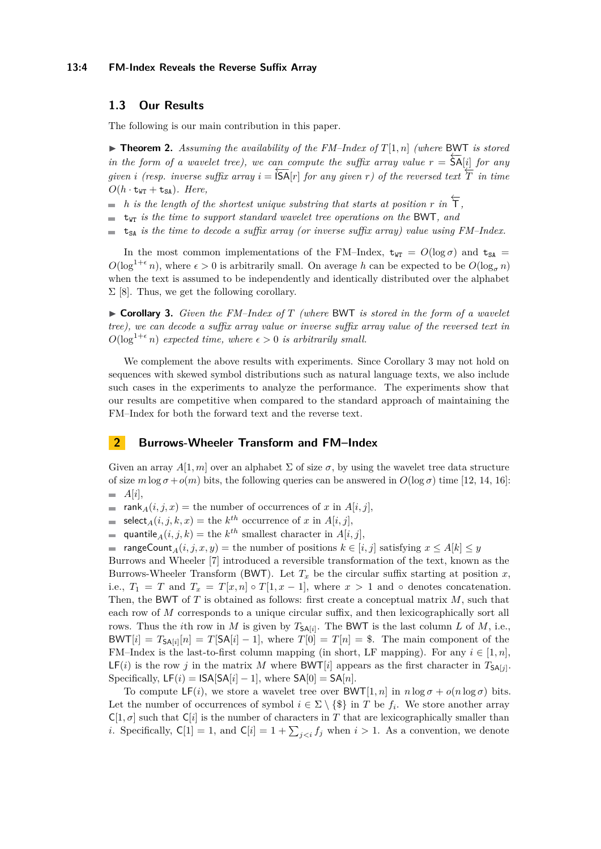#### **13:4 FM-Index Reveals the Reverse Suffix Array**

## **1.3 Our Results**

<span id="page-3-1"></span>The following is our main contribution in this paper.

 $\triangleright$  **Theorem 2.** Assuming the availability of the FM-Index of  $T[1, n]$  (where BWT is stored *in the form of a wavelet tree), we can compute the suffix array value*  $r = \frac{\mathsf{SA}}{[i]}$  *for any given i* (resp. inverse suffix array  $i = \overline{SA}[r]$  for any given *r*) of the reversed text  $\overline{T}$  in time  $O(h \cdot t_{\text{WT}} + t_{\text{SA}})$ *. Here,* 

- *h is the length of the shortest unique substring that starts at position r in*  $\overleftarrow{T}$ ,
- $\blacksquare$  **t**<sub>WT</sub> *is the time to support standard wavelet tree operations on the* BWT, and
- $\bullet$  t<sub>SA</sub> *is the time to decode a suffix array (or inverse suffix array) value using FM–Index.*

In the most common implementations of the FM–Index,  $t_{WT} = O(\log \sigma)$  and  $t_{SA}$  $O(\log^{1+\epsilon} n)$ , where  $\epsilon > 0$  is arbitrarily small. On average *h* can be expected to be  $O(\log_{\sigma} n)$ when the text is assumed to be independently and identically distributed over the alphabet  $\Sigma$  [\[8\]](#page-12-13). Thus, we get the following corollary.

<span id="page-3-0"></span>▶ Corollary 3. *Given the FM–Index of T* (where BWT *is stored in the form of a wavelet tree), we can decode a suffix array value or inverse suffix array value of the reversed text in*  $O(\log^{1+\epsilon} n)$  *expected time, where*  $\epsilon > 0$  *is arbitrarily small.* 

We complement the above results with experiments. Since Corollary [3](#page-3-0) may not hold on sequences with skewed symbol distributions such as natural language texts, we also include such cases in the experiments to analyze the performance. The experiments show that our results are competitive when compared to the standard approach of maintaining the FM–Index for both the forward text and the reverse text.

## **2 Burrows-Wheeler Transform and FM–Index**

Given an array  $A[1, m]$  over an alphabet  $\Sigma$  of size  $\sigma$ , by using the wavelet tree data structure of size  $m \log \sigma + o(m)$  bits, the following queries can be answered in  $O(\log \sigma)$  time [\[12,](#page-12-3) [14,](#page-12-14) [16\]](#page-12-10):  $\blacksquare$  *A*[*i*],

**rank**<sub>*A*</sub>(*i*, *j*, *x*) = the number of occurrences of *x* in *A*[*i*, *j*],

select<sub>*A*</sub>(*i*, *j*, *k*, *x*) = the *k*<sup>th</sup> occurrence of *x* in *A*[*i*, *j*],

quantile<sub>*A*</sub>(*i*, *j*,*k*) = the *k*<sup>th</sup> smallest character in *A*[*i*, *j*],

 $\blacksquare$  rangeCount<sub>*A*</sub>(*i*, *j*, *x*, *y*) = the number of positions *k* ∈ [*i*, *j*] satisfying *x* ≤ *A*[*k*] ≤ *y* 

Burrows and Wheeler [\[7\]](#page-12-5) introduced a reversible transformation of the text, known as the Burrows-Wheeler Transform (BWT). Let  $T_x$  be the circular suffix starting at position *x*, i.e.,  $T_1 = T$  and  $T_x = T[x, n] \circ T[1, x - 1]$ , where  $x > 1$  and  $\circ$  denotes concatenation. Then, the BWT of *T* is obtained as follows: first create a conceptual matrix *M*, such that each row of *M* corresponds to a unique circular suffix, and then lexicographically sort all rows. Thus the *i*th row in *M* is given by  $T_{\mathsf{SA}[i]}$ . The BWT is the last column *L* of *M*, i.e.,  $\text{BWT}[i] = T_{\text{SA}[i]}[n] = T[\text{SA}[i] - 1],$  where  $T[0] = T[n] =$  \$. The main component of the FM–Index is the last-to-first column mapping (in short, LF mapping). For any  $i \in [1, n]$ ,  $LF(i)$  is the row *j* in the matrix *M* where BWT[*i*] appears as the first character in  $T_{SA[j]}$ . Specifically,  $LF(i) = |SA[SA[i] - 1]$ , where  $SA[0] = SA[n]$ .

To compute LF(*i*), we store a wavelet tree over BWT[1, *n*] in  $n \log \sigma + o(n \log \sigma)$  bits. Let the number of occurrences of symbol  $i \in \Sigma \setminus \{\$\}$  in *T* be  $f_i$ . We store another array  $C[1,\sigma]$  such that  $C[i]$  is the number of characters in *T* that are lexicographically smaller than *i*. Specifically,  $C[1] = 1$ , and  $C[i] = 1 + \sum_{j \leq i} f_j$  when  $i > 1$ . As a convention, we denote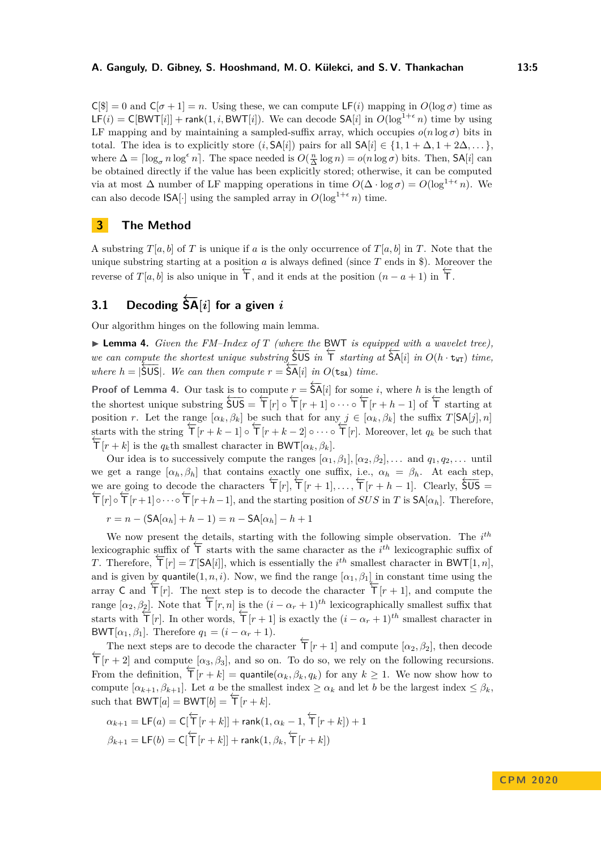$C[\$] = 0$  and  $C[\sigma + 1] = n$ . Using these, we can compute  $LF(i)$  mapping in  $O(\log \sigma)$  time as  $LF(i) = C[BWT[i]] + rank(1, i, BWT[i])$ . We can decode  $SA[i]$  in  $O(log^{1+\epsilon} n)$  time by using LF mapping and by maintaining a sampled-suffix array, which occupies  $o(n \log \sigma)$  bits in total. The idea is to explicitly store  $(i, \mathsf{SA}[i])$  pairs for all  $\mathsf{SA}[i] \in \{1, 1 + \Delta, 1 + 2\Delta, \ldots\},\$ where  $\Delta = \lceil \log_{\sigma} n \log^{\epsilon} n \rceil$ . The space needed is  $O(\frac{n}{\Delta} \log n) = o(n \log \sigma)$  bits. Then, SA[*i*] can be obtained directly if the value has been explicitly stored; otherwise, it can be computed via at most  $\Delta$  number of LF mapping operations in time  $O(\Delta \cdot \log \sigma) = O(\log^{1+\epsilon} n)$ . We can also decode  $\textsf{ISA}[\cdot]$  using the sampled array in  $O(\log^{1+\epsilon} n)$  time.

# **3 The Method**

A substring  $T[a, b]$  of T is unique if a is the only occurrence of  $T[a, b]$  in T. Note that the unique substring starting at a position *a* is always defined (since *T* ends in \$). Moreover the reverse of *T*[*a, b*] is also unique in  $\overline{T}$ , and it ends at the position  $(n - a + 1)$  in  $\overline{T}$ .

# **3.1** Decoding  $\overleftarrow{\mathsf{SA}}[i]$  for a given  $i$

Our algorithm hinges on the following main lemma.

<span id="page-4-0"></span>▶ **Lemma 4.** *Given the FM–Index of T* (where the BWT *is equipped with a wavelet tree)*, *we can compute the shortest unique substring*  $\overline{SUS}$  *in*  $\overline{T}$  *starting at*  $\overline{SA}[i]$  *in*  $O(h \cdot t_{WT})$  *time, where*  $h = |\overline{SUS}|$ *. We can then compute*  $r = \overline{SA}[i]$  *in*  $O(t_{SA})$  *time.* 

**Proof of Lemma [4.](#page-4-0)** Our task is to compute  $r = \frac{\overleftarrow{SA}}{i}$  for some *i*, where *h* is the length of  $\frac{1}{\sqrt{2}}$  is the shortest unique substring  $\frac{1}{\sqrt{2}}$  is  $\frac{1}{\sqrt{2}}$  is the starting in the shortest unique substring  $\frac{1}{\sqrt{2}}$  is  $\frac{1}{\sqrt{2}}$  is the shortest unique substring  $\frac{1}{\sqrt{2}}$  is  $\frac{1}{\sqrt{2}}$  is the position *r*. Let the range  $[\alpha_k, \beta_k]$  be such that for any  $j \in [\alpha_k, \beta_k]$  the suffix  $T[\mathsf{SA}[j], n]$ starts with the string  $\overline{\Gamma}[r+k-1] \circ \overline{\Gamma}[r+k-2] \circ \cdots \circ \overline{\Gamma}[r]$ . Moreover, let  $q_k$  be such that  $\overline{\mathsf{T}}[r+k]$  is the *q*<sub>*k*</sub>th smallest character in BWT[ $\alpha_k, \beta_k$ ].

Our idea is to successively compute the ranges  $[\alpha_1, \beta_1], [\alpha_2, \beta_2], \ldots$  and  $q_1, q_2, \ldots$  until we get a range  $[\alpha_h, \beta_h]$  that contains exactly one suffix, i.e.,  $\alpha_h = \beta_h$ . At each step, we are going to decode the characters  $\overleftarrow{[r]}, \overrightarrow{[r+1]}, \dots, \overleftarrow{[r+h-1]}$ . Clearly,  $\overleftarrow{SUS} =$  $\frac{1}{T}[r] \circ \frac{T}{T}[r+1] \circ \cdots \circ \frac{T}{T}[r+h-1]$ , and the starting position of *SUS* in *T* is SA[ $\alpha_h$ ]. Therefore,

$$
r = n - (SA[\alpha_h] + h - 1) = n - SA[\alpha_h] - h + 1
$$

We now present the details, starting with the following simple observation. The *i th* lexicographic suffix of  $\overline{\mathsf{T}}$  starts with the same character as the *i*<sup>th</sup> lexicographic suffix of *T*. Therefore,  $\overline{\Gamma}[r] = T[\mathsf{SA}[i]]$ , which is essentially the *i*<sup>th</sup> smallest character in BWT[1*, n*], and is given by **quantile** $(1, n, i)$ . Now, we find the range  $[\alpha_1, \beta_1]$  in constant time using the array C and  $\overline{\Gamma}[r]$ . The next step is to decode the character  $\overline{\Gamma}[r+1]$ , and compute the range  $[\alpha_2, \beta_2]$ . Note that  $\overline{\mathsf{T}}[r, n]$  is the  $(i - \alpha_r + 1)^{th}$  lexicographically smallest suffix that starts with  $\overline{\Gamma}[r]$ . In other words,  $\overline{\Gamma}[r+1]$  is exactly the  $(i - \alpha_r + 1)^{th}$  smallest character in BWT[ $\alpha_1, \beta_1$ ]. Therefore  $q_1 = (i - \alpha_r + 1)$ .

The next steps are to decode the character  $\overleftarrow{T}[r+1]$  and compute  $[\alpha_2, \beta_2]$ , then decode  $\overleftarrow{\mathsf{T}}[r+2]$  and compute  $[\alpha_3, \beta_3]$ , and so on. To do so, we rely on the following recursions. From the definition,  $\overleftarrow{\Gamma}[r+k] =$  quantile( $\alpha_k, \beta_k, q_k$ ) for any  $k \geq 1$ . We now show how to compute  $[\alpha_{k+1}, \beta_{k+1}]$ . Let *a* be the smallest index  $\geq \alpha_k$  and let *b* be the largest index  $\leq \beta_k$ ,  $\sum_{k=1}^{\infty} \sum_{k=1}^{\infty} \sum_{k=1}^{\infty} \sum_{j=1}^{\infty} \sum_{k=1}^{\infty} \sum_{j=1}^{\infty} \sum_{k=1}^{\infty} \sum_{k=1}^{\infty} \sum_{k=1}^{\infty} \sum_{j=1}^{\infty} \sum_{k=1}^{\infty} \sum_{k=1}^{\infty} \sum_{k=1}^{\infty} \sum_{k=1}^{\infty} \sum_{k=1}^{\infty} \sum_{k=1}^{\infty} \sum_{k=1}^{\infty} \sum_{k=1}^{\infty} \sum_{k$ 

$$
\alpha_{k+1} = \mathsf{LF}(a) = \mathsf{C}[\overleftarrow{\mathsf{T}}[r+k]] + \mathsf{rank}(1, \alpha_k - 1, \overleftarrow{\mathsf{T}}[r+k]) + 1
$$

$$
\beta_{k+1} = \mathsf{LF}(b) = \mathsf{C}[\overleftarrow{\mathsf{T}}[r+k]] + \mathsf{rank}(1, \beta_k, \overleftarrow{\mathsf{T}}[r+k])
$$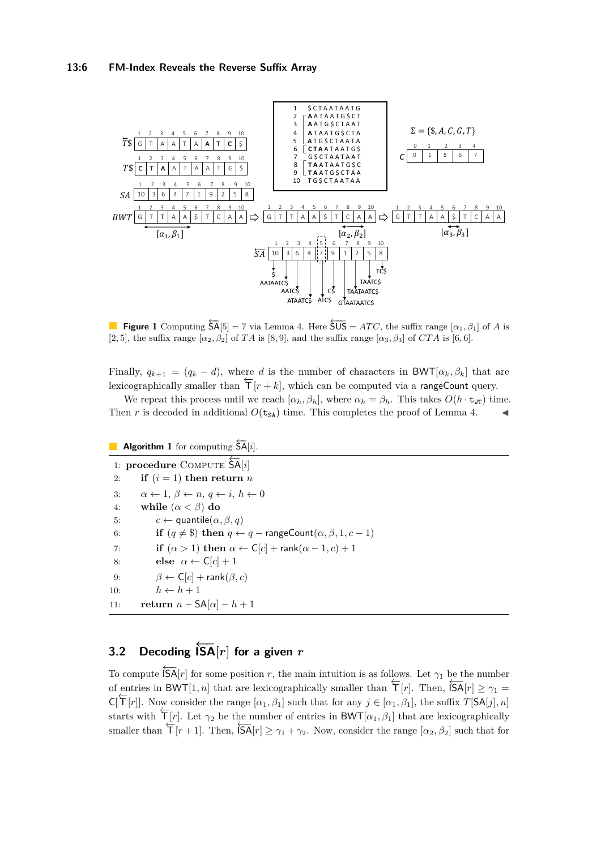

**Figure 1** Computing  $\overleftarrow{SA}$ [5] = 7 via Lemma [4.](#page-4-0) Here  $\overleftarrow{SUS} = ATC$ , the suffix range  $[\alpha_1, \beta_1]$  of *A* is [2*,* 5], the suffix range  $[\alpha_2, \beta_2]$  of *TA* is [8*,* 9], and the suffix range  $[\alpha_3, \beta_3]$  of *CTA* is [6*,* 6].

Finally,  $q_{k+1} = (q_k - d)$ , where *d* is the number of characters in BWT[ $\alpha_k, \beta_k$ ] that are lexicographically smaller than  $\mathsf{T}[r+k]$ , which can be computed via a rangeCount query.

We repeat this process until we reach  $[\alpha_h, \beta_h]$ , where  $\alpha_h = \beta_h$ . This takes  $O(h \cdot t_{\text{WT}})$  time. Then *r* is decoded in additional  $O(t_{SA})$  time. This completes the proof of Lemma [4.](#page-4-0)

<span id="page-5-0"></span>**Algorithm 1** for computing  $\overleftarrow{SA}[i]$ .

1: **procedure** COMPUTE  $\overline{SA}[i]$ 2: **if**  $(i = 1)$  **then return** *n* 3:  $\alpha \leftarrow 1, \beta \leftarrow n, q \leftarrow i, h \leftarrow 0$ 4: **while** (*α < β*) **do** 5:  $c \leftarrow$  quantile $(\alpha, \beta, q)$ 6: **if**  $(q \neq \$)$  **then**  $q \leftarrow q$  – rangeCount $(\alpha, \beta, 1, c - 1)$ 7: **if**  $(\alpha > 1)$  **then**  $\alpha \leftarrow C[c] + \text{rank}(\alpha - 1, c) + 1$ 8: **else**  $\alpha \leftarrow C[c] + 1$ 9:  $\beta \leftarrow \mathsf{C}[c] + \mathsf{rank}(\beta, c)$ 10:  $h \leftarrow h + 1$ 11: **return**  $n - SA[\alpha] - h + 1$ 

# **3.2** Decoding  $|\overleftarrow{\textbf{SA}}[r]|$  for a given *r*

To compute  $\overleftarrow{\text{SA}}[r]$  for some position *r*, the main intuition is as follows. Let  $\gamma_1$  be the number of entries in BWT[1*, n*] that are lexicographically smaller than  $\overline{\mathsf{T}}[r]$ . Then,  $\overline{\mathsf{ISA}}[r] \geq \gamma_1 =$  $\mathsf{C}[\mathsf{T}[r]]$ . Now consider the range  $[\alpha_1, \beta_1]$  such that for any  $j \in [\alpha_1, \beta_1]$ , the suffix  $T[\mathsf{SA}[j], n]$ starts with  $\overline{\mathsf{T}}[r]$ . Let  $\gamma_2$  be the number of entries in BWT[ $\alpha_1, \beta_1$ ] that are lexicographically smaller than  $\overline{\Gamma}[r+1]$ . Then,  $\overline{[SA[r]} \geq \gamma_1 + \gamma_2$ . Now, consider the range  $[\alpha_2, \beta_2]$  such that for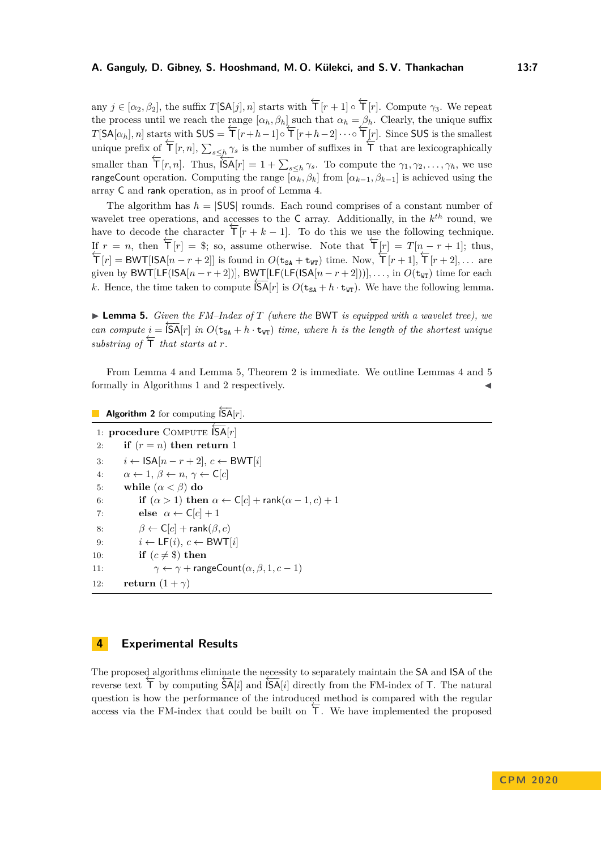any  $j \in [\alpha_2, \beta_2]$ , the suffix  $T[\mathsf{SA}[j], n]$  starts with  $\overleftarrow{\mathsf{T}}[r+1] \circ \overleftarrow{\mathsf{T}}[r]$ . Compute  $\gamma_3$ . We repeat the process until we reach the range  $[\alpha_h, \beta_h]$  such that  $\alpha_h = \beta_h$ . Clearly, the unique suffix  $T[SA[\alpha_h], n]$  starts with SUS =  $\overleftarrow{T}[r+h-1] \circ \overleftarrow{T}[r+h-2] \cdots \circ \overleftarrow{T}[r]$ . Since SUS is the smallest unique prefix of  $\overline{\mathsf{T}}[r,n], \sum_{s\leq h} \gamma_s$  is the number of suffixes in  $\overline{\mathsf{T}}$  that are lexicographically smaller than  $\overleftarrow{\mathsf{T}}[r,n]$ . Thus,  $\overrightarrow{\mathsf{ISA}}[r] = 1 + \sum_{s \leq h} \gamma_s$ . To compute the  $\gamma_1, \gamma_2, \ldots, \gamma_h$ , we use rangeCount operation. Computing the range  $[\alpha_k, \beta_k]$  from  $[\alpha_{k-1}, \beta_{k-1}]$  is achieved using the array C and rank operation, as in proof of Lemma [4.](#page-4-0)

The algorithm has  $h = |SUS|$  rounds. Each round comprises of a constant number of wavelet tree operations, and accesses to the  $C$  array. Additionally, in the  $k^{th}$  round, we have to decode the character  $\overline{\Gamma}[r + k - 1]$ . To do this we use the following technique. If  $r = n$ , then  $\overline{\mathsf{T}}[r] = \$;$  so, assume otherwise. Note that  $\overline{\mathsf{T}}[r] = T[n - r + 1]$ ; thus,  $\overline{\mathbf{T}}[r] = \text{BWT}[\text{ISA}[n - r + 2]]$  is found in  $O(\mathbf{t}_{\text{SA}} + \mathbf{t}_{\text{WT}})$  time. Now,  $\overline{\mathbf{T}}[r + 1]$ ,  $\overline{\mathbf{T}}[r + 2]$ , ... are given by BWT[LF(ISA[ $n - r + 2$ ])], BWT[LF(LF(ISA[ $n - r + 2$ ])], ..., in  $O(\mathbf{t}_{\text{WT}})$  time for each  $k$ . Hence, the time taken to compute  $\overline{SA}[r]$  is  $O(t_{SA} + h \cdot t_{WT})$ . We have the following lemma.

<span id="page-6-0"></span> $\blacktriangleright$  **Lemma 5.** *Given the FM–Index of T (where the BWT is equipped with a wavelet tree), we can compute*  $i = \overline{S_A}[r]$  *in*  $O(t_{SA} + h \cdot t_{WT})$  *time, where h is the length of the shortest unique*  $\overline{\text{substring of}}$   $\overleftarrow{\text{T}}$  *that starts at r*.

From Lemma [4](#page-4-0) and Lemma [5,](#page-6-0) Theorem [2](#page-3-1) is immediate. We outline Lemmas [4](#page-4-0) and [5](#page-6-0) formally in Algorithms [1](#page-5-0) and [2](#page-6-1) respectively.

```
Algorithm 2 for computing \overline{SA}[r].
```

```
1: procedure COMPUTE \overline{SA}[r]2: if (r = n) then return 1
 3: i ← ISA[n − r + 2], c ← BWT[i]
 4: \alpha \leftarrow 1, \beta \leftarrow n, \gamma \leftarrow \mathsf{C}[c]5: while (α < β) do
 6: if (\alpha > 1) then \alpha \leftarrow C[c] + \text{rank}(\alpha - 1, c) + 17: else \alpha \leftarrow C[c] + 18: \beta \leftarrow C[c] + \text{rank}(\beta, c)9: i \leftarrow \mathsf{LF}(i), c \leftarrow \mathsf{BWT}[i]10: if (c \neq \$) then
11: \gamma \leftarrow \gamma + \text{rangeCount}(\alpha, \beta, 1, c - 1)12: return (1 + \gamma)
```
# **4 Experimental Results**

The proposed algorithms eliminate the necessity to separately maintain the SA and ISA of the FIRE proposed algorithms eminimate the necessity to separately maintain the SA and ISA of the reverse text  $\overline{\mathsf{T}}$  by computing  $\overline{\mathsf{SA}}[i]$  and  $\overline{\mathsf{ISA}}[i]$  directly from the FM-index of T. The natural question is how the performance of the introduced method is compared with the regular  $\frac{1}{2}$  access via the FM-index that could be built on  $\overline{+}$ . We have implemented the proposed

**C PM 2 0 2 0**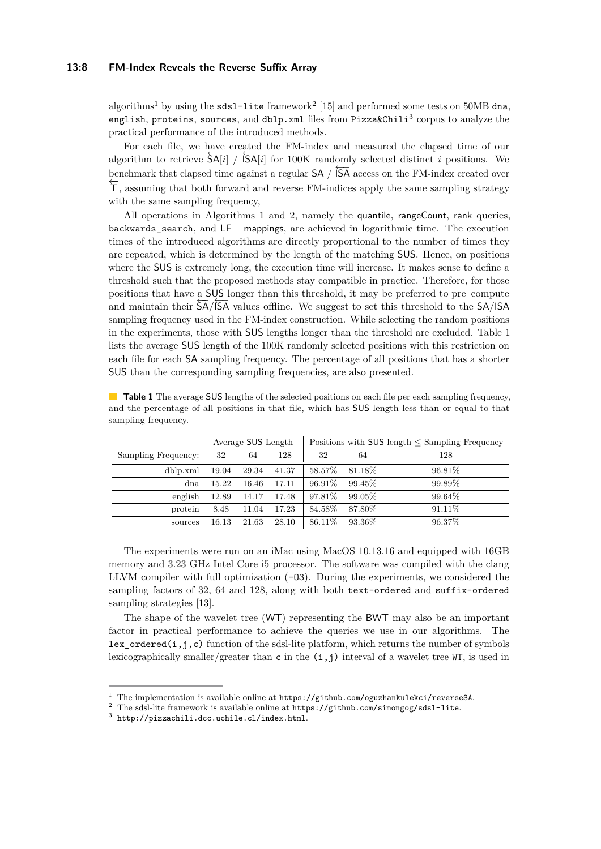#### **13:8 FM-Index Reveals the Reverse Suffix Array**

algorithms $^1$  $^1$  by using the <code>sds1-lite</code> framework $^2$  $^2$  [\[15\]](#page-12-15) and performed some tests on 50MB dna, english, proteins, sources, and  $dblp.xml$  files from Pizza&Chili<sup>[3](#page-7-2)</sup> corpus to analyze the practical performance of the introduced methods.

For each file, we have created the FM-index and measured the elapsed time of our For each me, we have elected the FM-muck and measured the elapsed time of our algorithm to retrieve  $\overline{SA}[i]$  /  $\overline{SA}[i]$  for 100K randomly selected distinct *i* positions. We **benchmark that elapsed time against a regular SA** / **ISA** access on the FM-index created over  $\overline{\mathsf{F}}$ , assuming that both forward and reverse FM-indices apply the same sampling strategy with the same sampling frequency,

All operations in Algorithms [1](#page-5-0) and [2,](#page-6-1) namely the quantile, rangeCount, rank queries, backwards search, and  $LF$  − mappings, are achieved in logarithmic time. The execution times of the introduced algorithms are directly proportional to the number of times they are repeated, which is determined by the length of the matching SUS. Hence, on positions where the SUS is extremely long, the execution time will increase. It makes sense to define a threshold such that the proposed methods stay compatible in practice. Therefore, for those positions that have a SUS longer than this threshold, it may be preferred to pre–compute hostrions that have a 505 longer than this threshold, it may be preterred to pre compute<br>and maintain their SA/ISA values offline. We suggest to set this threshold to the SA/ISA sampling frequency used in the FM-index construction. While selecting the random positions in the experiments, those with SUS lengths longer than the threshold are excluded. Table [1](#page-7-3) lists the average SUS length of the 100K randomly selected positions with this restriction on each file for each SA sampling frequency. The percentage of all positions that has a shorter SUS than the corresponding sampling frequencies, are also presented.

|                     | Average SUS Length |       | Positions with $SUS$ length $\leq$ Sampling Frequency |         |         |         |  |
|---------------------|--------------------|-------|-------------------------------------------------------|---------|---------|---------|--|
| Sampling Frequency: | 32                 | 64    | 128                                                   | 32      | 64      | 128     |  |
| dblp.xml            | 19.04              | 29.34 | 41.37                                                 | 58.57\% | 81.18%  | 96.81\% |  |
| dna                 | 15.22              | 16.46 | 17.11                                                 | 96.91%  | 99.45\% | 99.89%  |  |
| english             | 12.89              | 14.17 | 17.48                                                 | 97.81\% | 99.05%  | 99.64\% |  |
| protein             | 8.48               | 11.04 | 17.23                                                 | 84.58%  | 87.80%  | 91.11%  |  |
| sources             | 16.13              | 21.63 | 28.10                                                 | 86.11\% | 93.36\% | 96.37%  |  |

<span id="page-7-3"></span>**Table 1** The average SUS lengths of the selected positions on each file per each sampling frequency, and the percentage of all positions in that file, which has SUS length less than or equal to that sampling frequency.

The experiments were run on an iMac using MacOS 10.13.16 and equipped with 16GB memory and 3.23 GHz Intel Core i5 processor. The software was compiled with the clang LLVM compiler with full optimization  $(-03)$ . During the experiments, we considered the sampling factors of 32, 64 and 128, along with both text-ordered and suffix-ordered sampling strategies [\[13\]](#page-12-16).

The shape of the wavelet tree (WT) representing the BWT may also be an important factor in practical performance to achieve the queries we use in our algorithms. The lex\_ordered $(i, j, c)$  function of the sdsl-lite platform, which returns the number of symbols lexicographically smaller/greater than c in the  $(i, j)$  interval of a wavelet tree WT, is used in

<span id="page-7-0"></span><sup>1</sup> The implementation is available online at <https://github.com/oguzhankulekci/reverseSA>.

<span id="page-7-1"></span><sup>&</sup>lt;sup>2</sup> The sdsl-lite framework is available online at https://github.com/simongog/sds1-lite.

<span id="page-7-2"></span> $3$  <http://pizzachili.dcc.uchile.cl/index.html>.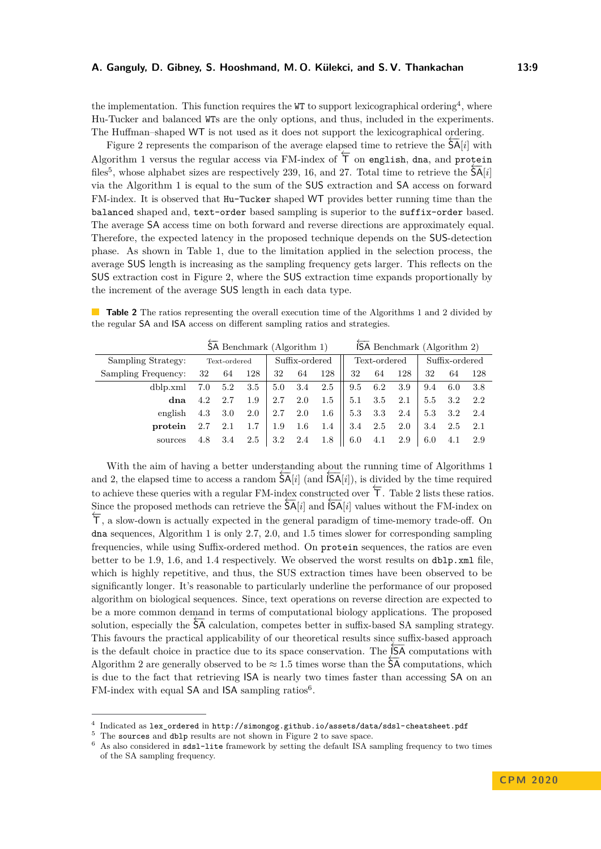the implementation. This function requires the  $WT$  to support lexicographical ordering<sup>[4](#page-8-0)</sup>, where Hu-Tucker and balanced WTs are the only options, and thus, included in the experiments. The Huffman–shaped WT is not used as it does not support the lexicographical ordering.

Figure [2](#page-9-0) represents the comparison of the average elapsed time to retrieve the  $\hat{\mathsf{S}}\mathsf{A}[i]$  with Algorithm [1](#page-5-0) versus the regular access via FM-index of ←− T on english, dna, and protein files<sup>[5](#page-8-1)</sup>, whose alphabet sizes are respectively 239, 16, and 27. Total time to retrieve the  $\overline{SA}[i]$ via the Algorithm [1](#page-5-0) is equal to the sum of the SUS extraction and SA access on forward FM-index. It is observed that Hu-Tucker shaped WT provides better running time than the balanced shaped and, text-order based sampling is superior to the suffix–order based. The average SA access time on both forward and reverse directions are approximately equal. Therefore, the expected latency in the proposed technique depends on the SUS-detection phase. As shown in Table [1,](#page-7-3) due to the limitation applied in the selection process, the average SUS length is increasing as the sampling frequency gets larger. This reflects on the SUS extraction cost in Figure [2,](#page-9-0) where the SUS extraction time expands proportionally by the increment of the average SUS length in each data type.

<span id="page-8-2"></span>**Table [2](#page-6-1)** The ratios representing the overall execution time of the Algorithms [1](#page-5-0) and 2 divided by the regular SA and ISA access on different sampling ratios and strategies.

|                     | $\overline{SA}$ Benchmark (Algorithm 1) |     |     |                  |     |         | $\overline{\textsf{SA}}$ Benchmark (Algorithm 2) |     |     |                |     |     |
|---------------------|-----------------------------------------|-----|-----|------------------|-----|---------|--------------------------------------------------|-----|-----|----------------|-----|-----|
| Sampling Strategy:  | Text-ordered                            |     |     | Suffix-ordered   |     |         | Text-ordered                                     |     |     | Suffix-ordered |     |     |
| Sampling Frequency: | 32                                      | 64  | 128 | 32               | 64  | 128     | 32                                               | 64  | 128 | 32             | 64  | 128 |
| dblp.xml            | 7.0                                     | 5.2 | 3.5 | 5.0              | 3.4 | 2.5     | $9.5^{\circ}$                                    | 6.2 | 3.9 | 9.4            | 6.0 | 3.8 |
| dna                 | 4.2                                     | 2.7 | 1.9 | 2.7              | 2.0 | 1.5     | 5.1                                              | 3.5 | 2.1 | 5.5            | 3.2 | 2.2 |
| english             | 4.3                                     | 3.0 | 2.0 | 2.7              | 2.0 | $1.6\,$ | 5.3                                              | 3.3 | 2.4 | 5.3            | 3.2 | 2.4 |
| protein             | 2.7                                     | 2.1 | 1.7 | 1.9              | 1.6 | $1.4\,$ | 3.4                                              | 2.5 | 2.0 | 3.4            | 2.5 | 2.1 |
| sources             | 4.8                                     | 3.4 | 2.5 | $3.2\phantom{0}$ | 2.4 | 1.8     | 6.0                                              | 4.1 | 2.9 | 6.0            | 4.1 | 2.9 |

With the aim of having a better understanding about the running time of Algorithms [1](#page-5-0) when the ann of naving a better understanding about the running time of rigorium is and [2,](#page-6-1) the elapsed time to access a random  $\overline{SA}[i]$  (and  $\overline{SA}[i]$ ), is divided by the time required to achieve these queries with a regular FM-index constructed over  $\top$ . Table [2](#page-8-2) lists these ratios. Since the proposed methods can retrieve the SA[*i*] and  $\overline{SSA}[i]$  values without the FM-index on  $\overline{\mathsf{F}}$ , a slow-down is actually expected in the general paradigm of time-memory trade-off. On dna sequences, Algorithm [1](#page-5-0) is only 2*.*7, 2*.*0, and 1*.*5 times slower for corresponding sampling frequencies, while using Suffix-ordered method. On protein sequences, the ratios are even better to be 1*.*9, 1*.*6, and 1*.*4 respectively. We observed the worst results on dblp.xml file, which is highly repetitive, and thus, the SUS extraction times have been observed to be significantly longer. It's reasonable to particularly underline the performance of our proposed algorithm on biological sequences. Since, text operations on reverse direction are expected to be a more common demand in terms of computational biology applications. The proposed solution, especially the SA calculation, competes better in suffix-based SA sampling strategy. This favours the practical applicability of our theoretical results since suffix-based approach is the default choice in practice due to its space conservation. The  $\overline{SA}$  computations with Algorithm [2](#page-6-1) are generally observed to be  $\approx 1.5$  times worse than the  $\overline{\text{SA}}$  computations, which is due to the fact that retrieving ISA is nearly two times faster than accessing SA on an FM-index with equal  $SA$  and  $ISA$  sampling ratios<sup>[6](#page-8-3)</sup>.

<span id="page-8-0"></span> $^4$  Indicated as lex\_ordered in <http://simongog.github.io/assets/data/sdsl-cheatsheet.pdf>

<span id="page-8-1"></span><sup>5</sup> The sources and dblp results are not shown in Figure [2](#page-9-0) to save space.

<span id="page-8-3"></span><sup>6</sup> As also considered in sdsl-lite framework by setting the default ISA sampling frequency to two times of the SA sampling frequency.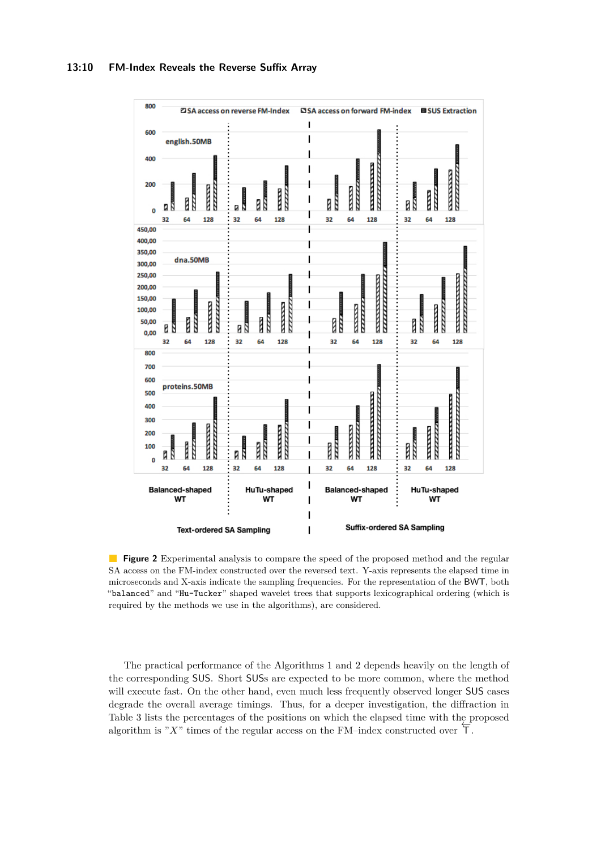<span id="page-9-0"></span>

**Figure 2** Experimental analysis to compare the speed of the proposed method and the regular SA access on the FM-index constructed over the reversed text. Y-axis represents the elapsed time in microseconds and X-axis indicate the sampling frequencies. For the representation of the BWT, both "balanced" and "Hu-Tucker" shaped wavelet trees that supports lexicographical ordering (which is required by the methods we use in the algorithms), are considered.

The practical performance of the Algorithms [1](#page-5-0) and [2](#page-6-1) depends heavily on the length of the corresponding SUS. Short SUSs are expected to be more common, where the method will execute fast. On the other hand, even much less frequently observed longer SUS cases degrade the overall average timings. Thus, for a deeper investigation, the diffraction in Table [3](#page-10-0) lists the percentages of the positions on which the elapsed time with the proposed algorithm is "*X*" times of the regular access on the FM–index constructed over ⊤.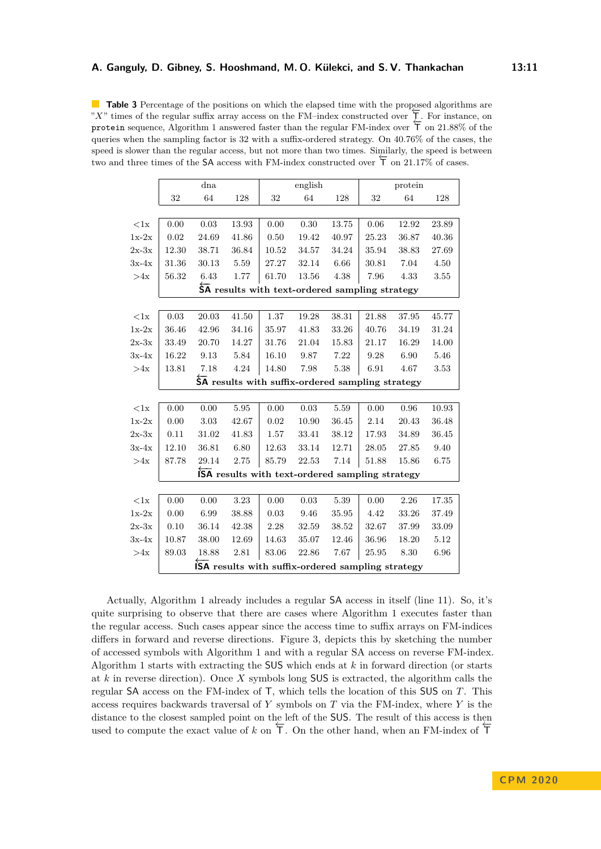<span id="page-10-0"></span>**Table 3** Percentage of the positions on which the elapsed time with the proposed algorithms are ■ **Table 3** I etcentage of the positions on which the elapsed time with the proposed algorithms are  $X$ <sup>n</sup> times of the regular suffix array access on the FM–index constructed over  $\overline{)}$ . For instance, on protein sequence, Algorithm [1](#page-5-0) answered faster than the regular FM-index over ⊤ on 21.88% of the queries when the sampling factor is 32 with a suffix-ordered strategy. On 40*.*76% of the cases, the speed is slower than the regular access, but not more than two times. Similarly, the speed is between two and three times of the SA access, but not more than two times. Supplierity, the speed is be two and three times of the SA access with FM-index constructed over  $\overline{+}$  on 21.17% of cases.

|                  |                                                                             | $_{\rm{dna}}$ |       |           | english |                                                 | protein |       |       |  |  |  |  |  |
|------------------|-----------------------------------------------------------------------------|---------------|-------|-----------|---------|-------------------------------------------------|---------|-------|-------|--|--|--|--|--|
|                  | 32                                                                          | 64            | 128   | 32        | 64      | 128                                             | 32      | 64    | 128   |  |  |  |  |  |
|                  |                                                                             |               |       |           |         |                                                 |         |       |       |  |  |  |  |  |
| $\langle 1x$     | 0.00                                                                        | 0.03          | 13.93 | 0.00      | 0.30    | 13.75                                           | 0.06    | 12.92 | 23.89 |  |  |  |  |  |
| $1x-2x$          | 0.02                                                                        | 24.69         | 41.86 | 0.50      | 19.42   | 40.97                                           | 25.23   | 36.87 | 40.36 |  |  |  |  |  |
| $2x-3x$          | 12.30                                                                       | 38.71         | 36.84 | 10.52     | 34.57   | 34.24                                           | 35.94   | 38.83 | 27.69 |  |  |  |  |  |
| $3x-4x$          | 31.36                                                                       | 30.13         | 5.59  | 27.27     | 32.14   | 6.66                                            | 30.81   | 7.04  | 4.50  |  |  |  |  |  |
| >4x              | 56.32                                                                       | 6.43          | 1.77  | 61.70     | 13.56   | 4.38                                            | 7.96    | 4.33  | 3.55  |  |  |  |  |  |
|                  | $\overleftarrow{\mathsf{SA}}$ results with text-ordered sampling strategy   |               |       |           |         |                                                 |         |       |       |  |  |  |  |  |
|                  |                                                                             |               |       |           |         |                                                 |         |       |       |  |  |  |  |  |
| < 1x             | $\rm 0.03$                                                                  | 20.03         | 41.50 | 1.37      | 19.28   | 38.31                                           | 21.88   | 37.95 | 45.77 |  |  |  |  |  |
| $1x-2x$          | 36.46                                                                       | 42.96         | 34.16 | 35.97     | 41.83   | 33.26                                           | 40.76   | 34.19 | 31.24 |  |  |  |  |  |
| $2x-3x$          | 33.49                                                                       | 20.70         | 14.27 | 31.76     | 21.04   | 15.83                                           | 21.17   | 16.29 | 14.00 |  |  |  |  |  |
| $3x-4x$          | 16.22                                                                       | $9.13\,$      | 5.84  | $16.10\,$ | 9.87    | 7.22                                            | 9.28    | 6.90  | 5.46  |  |  |  |  |  |
| >4x              | 13.81                                                                       | 7.18          | 4.24  | 14.80     | 7.98    | 5.38                                            | 6.91    | 4.67  | 3.53  |  |  |  |  |  |
|                  | $\overleftarrow{\textsf{SA}}$ results with suffix-ordered sampling strategy |               |       |           |         |                                                 |         |       |       |  |  |  |  |  |
|                  |                                                                             |               |       |           |         |                                                 |         |       |       |  |  |  |  |  |
| < 1x             | 0.00                                                                        | 0.00          | 5.95  | 0.00      | 0.03    | $5.59\,$                                        | 0.00    | 0.96  | 10.93 |  |  |  |  |  |
| $1x-2x$          | 0.00                                                                        | 3.03          | 42.67 | 0.02      | 10.90   | 36.45                                           | 2.14    | 20.43 | 36.48 |  |  |  |  |  |
| $2x-3x$          | 0.11                                                                        | 31.02         | 41.83 | 1.57      | 33.41   | 38.12                                           | 17.93   | 34.89 | 36.45 |  |  |  |  |  |
| $3x-4x$          | 12.10                                                                       | 36.81         | 6.80  | 12.63     | 33.14   | 12.71                                           | 28.05   | 27.85 | 9.40  |  |  |  |  |  |
| >4x              | 87.78                                                                       | 29.14         | 2.75  | 85.79     | 22.53   | 7.14                                            | 51.88   | 15.86 | 6.75  |  |  |  |  |  |
|                  |                                                                             |               |       |           |         | ISA results with text-ordered sampling strategy |         |       |       |  |  |  |  |  |
|                  |                                                                             |               |       |           |         |                                                 |         |       |       |  |  |  |  |  |
| ${<}1\mathrm{x}$ | 0.00                                                                        | 0.00          | 3.23  | 0.00      | 0.03    | 5.39                                            | 0.00    | 2.26  | 17.35 |  |  |  |  |  |
| $1x-2x$          | 0.00                                                                        | 6.99          | 38.88 | 0.03      | 9.46    | 35.95                                           | 4.42    | 33.26 | 37.49 |  |  |  |  |  |
| $2x-3x$          | 0.10                                                                        | 36.14         | 42.38 | 2.28      | 32.59   | 38.52                                           | 32.67   | 37.99 | 33.09 |  |  |  |  |  |
| $3x-4x$          | 10.87                                                                       | 38.00         | 12.69 | 14.63     | 35.07   | 12.46                                           | 36.96   | 18.20 | 5.12  |  |  |  |  |  |
| >4x              | 89.03                                                                       | 18.88         | 2.81  | 83.06     | 22.86   | 7.67                                            | 25.95   | 8.30  | 6.96  |  |  |  |  |  |
|                  | ISA results with suffix-ordered sampling strategy                           |               |       |           |         |                                                 |         |       |       |  |  |  |  |  |

Actually, Algorithm [1](#page-5-0) already includes a regular SA access in itself (line 11). So, it's quite surprising to observe that there are cases where Algorithm [1](#page-5-0) executes faster than the regular access. Such cases appear since the access time to suffix arrays on FM-indices differs in forward and reverse directions. Figure [3,](#page-11-5) depicts this by sketching the number of accessed symbols with Algorithm [1](#page-5-0) and with a regular SA access on reverse FM-index. Algorithm [1](#page-5-0) starts with extracting the SUS which ends at *k* in forward direction (or starts at *k* in reverse direction). Once *X* symbols long SUS is extracted, the algorithm calls the regular SA access on the FM-index of T, which tells the location of this SUS on *T*. This access requires backwards traversal of *Y* symbols on *T* via the FM-index, where *Y* is the distance to the closest sampled point on the left of the SUS. The result of this access is then used to compute the exact value of *k* on  $\overline{T}$ . On the other hand, when an FM-index of  $\overline{T}$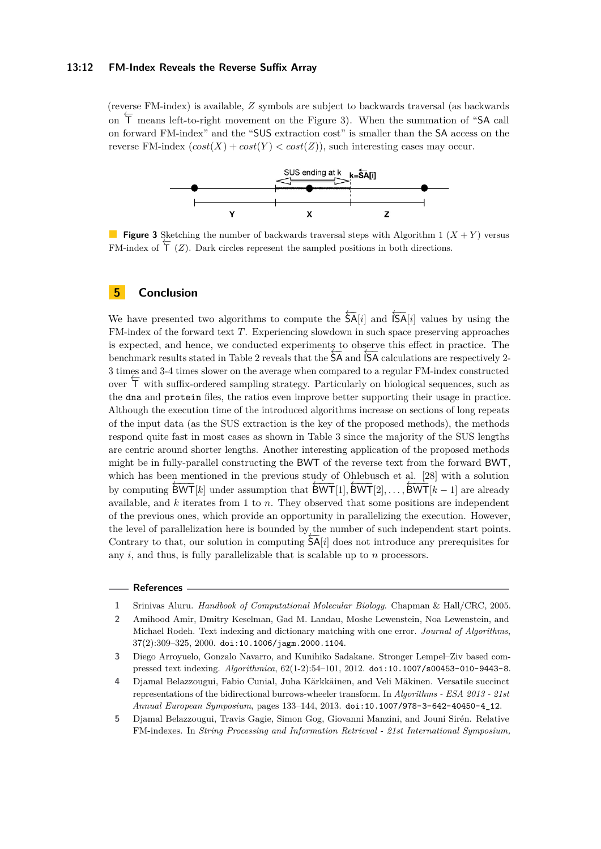#### **13:12 FM-Index Reveals the Reverse Suffix Array**

(reverse FM-index) is available, *Z* symbols are subject to backwards traversal (as backwards on  $\overline{+}$  means left-to-right movement on the Figure [3\)](#page-11-5). When the summation of "SA call on forward FM-index" and the "SUS extraction cost" is smaller than the SA access on the reverse FM-index  $(cost(X) + cost(Y) < cost(Z))$ , such interesting cases may occur.

<span id="page-11-5"></span>

**Figure 3** Sketching the number of backwards traversal steps with Algorithm [1](#page-5-0)  $(X + Y)$  versus FM-index of <del>Γ</del> (*Z*). Dark circles represent the sampled positions in both directions.

# **5 Conclusion**

We have presented two algorithms to compute the  $\overleftarrow{SA}[i]$  and  $\overleftarrow{ISA}[i]$  values by using the FM-index of the forward text *T*. Experiencing slowdown in such space preserving approaches is expected, and hence, we conducted experiments to observe this effect in practice. The Let the practice, and nettee, we conducted experiments to observe this encer in practice. The benchmark results stated in Table [2](#page-8-2) reveals that the SA and ISA calculations are respectively 2-3 times and 3-4 times slower on the average when compared to a regular FM-index constructed over  $\overline{\text{F}}$  with suffix-ordered sampling strategy. Particularly on biological sequences, such as over the dna and protein files, the ratios even improve better supporting their usage in practice. Although the execution time of the introduced algorithms increase on sections of long repeats of the input data (as the SUS extraction is the key of the proposed methods), the methods respond quite fast in most cases as shown in Table [3](#page-10-0) since the majority of the SUS lengths are centric around shorter lengths. Another interesting application of the proposed methods might be in fully-parallel constructing the BWT of the reverse text from the forward BWT, which has been mentioned in the previous study of Ohlebusch et al. [\[28\]](#page-13-11) with a solution by computing  $\overline{BWT[k]}$  under assumption that  $\overline{BWT[1]}, \overline{BWT[2]}, \ldots, \overline{BWT[k-1]}$  are already available, and *k* iterates from 1 to *n*. They observed that some positions are independent of the previous ones, which provide an opportunity in parallelizing the execution. However, the level of parallelization here is bounded by the number of such independent start points. Contrary to that, our solution in computing  $\hat{S}A[i]$  does not introduce any prerequisites for any *i*, and thus, is fully parallelizable that is scalable up to *n* processors.

#### **References**

- <span id="page-11-0"></span>**1** Srinivas Aluru. *Handbook of Computational Molecular Biology*. Chapman & Hall/CRC, 2005.
- <span id="page-11-2"></span>**2** Amihood Amir, Dmitry Keselman, Gad M. Landau, Moshe Lewenstein, Noa Lewenstein, and Michael Rodeh. Text indexing and dictionary matching with one error. *Journal of Algorithms*, 37(2):309–325, 2000. [doi:10.1006/jagm.2000.1104](https://doi.org/10.1006/jagm.2000.1104).
- <span id="page-11-3"></span>**3** Diego Arroyuelo, Gonzalo Navarro, and Kunihiko Sadakane. Stronger Lempel–Ziv based compressed text indexing. *Algorithmica*, 62(1-2):54–101, 2012. [doi:10.1007/s00453-010-9443-8](https://doi.org/10.1007/s00453-010-9443-8).
- <span id="page-11-4"></span>**4** Djamal Belazzougui, Fabio Cunial, Juha Kärkkäinen, and Veli Mäkinen. Versatile succinct representations of the bidirectional burrows-wheeler transform. In *Algorithms - ESA 2013 - 21st Annual European Symposium*, pages 133–144, 2013. [doi:10.1007/978-3-642-40450-4\\_12](https://doi.org/10.1007/978-3-642-40450-4_12).
- <span id="page-11-1"></span>**5** Djamal Belazzougui, Travis Gagie, Simon Gog, Giovanni Manzini, and Jouni Sirén. Relative FM-indexes. In *String Processing and Information Retrieval - 21st International Symposium,*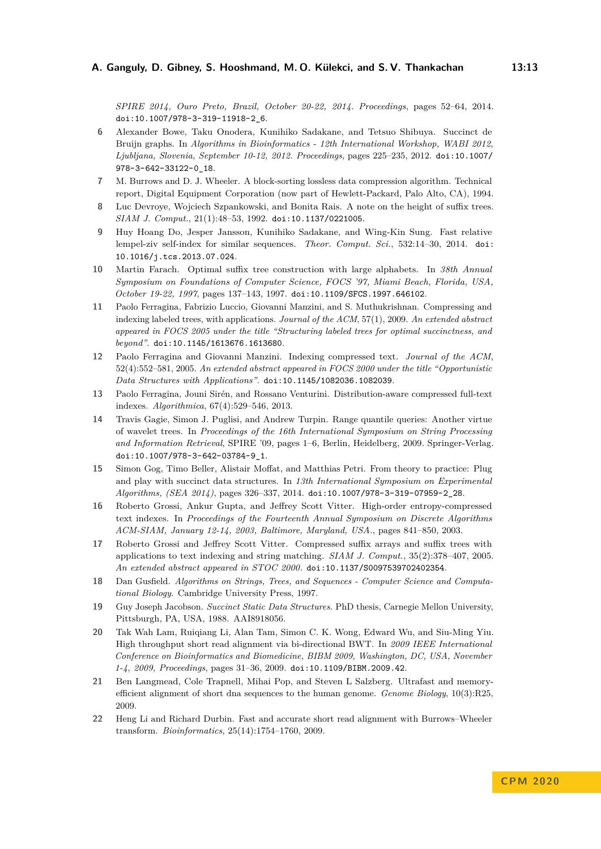*SPIRE 2014, Ouro Preto, Brazil, October 20-22, 2014. Proceedings*, pages 52–64, 2014. [doi:10.1007/978-3-319-11918-2\\_6](https://doi.org/10.1007/978-3-319-11918-2_6).

- <span id="page-12-6"></span>**6** Alexander Bowe, Taku Onodera, Kunihiko Sadakane, and Tetsuo Shibuya. Succinct de Bruijn graphs. In *Algorithms in Bioinformatics - 12th International Workshop, WABI 2012, Ljubljana, Slovenia, September 10-12, 2012. Proceedings*, pages 225–235, 2012. [doi:10.1007/](https://doi.org/10.1007/978-3-642-33122-0_18) [978-3-642-33122-0\\_18](https://doi.org/10.1007/978-3-642-33122-0_18).
- <span id="page-12-5"></span>**7** M. Burrows and D. J. Wheeler. A block-sorting lossless data compression algorithm. Technical report, Digital Equipment Corporation (now part of Hewlett-Packard, Palo Alto, CA), 1994.
- <span id="page-12-13"></span>**8** Luc Devroye, Wojciech Szpankowski, and Bonita Rais. A note on the height of suffix trees. *SIAM J. Comput.*, 21(1):48–53, 1992. [doi:10.1137/0221005](https://doi.org/10.1137/0221005).
- <span id="page-12-12"></span>**9** Huy Hoang Do, Jesper Jansson, Kunihiko Sadakane, and Wing-Kin Sung. Fast relative lempel-ziv self-index for similar sequences. *Theor. Comput. Sci.*, 532:14–30, 2014. [doi:](https://doi.org/10.1016/j.tcs.2013.07.024) [10.1016/j.tcs.2013.07.024](https://doi.org/10.1016/j.tcs.2013.07.024).
- <span id="page-12-0"></span>**10** Martin Farach. Optimal suffix tree construction with large alphabets. In *38th Annual Symposium on Foundations of Computer Science, FOCS '97, Miami Beach, Florida, USA, October 19-22, 1997*, pages 137–143, 1997. [doi:10.1109/SFCS.1997.646102](https://doi.org/10.1109/SFCS.1997.646102).
- <span id="page-12-7"></span>**11** Paolo Ferragina, Fabrizio Luccio, Giovanni Manzini, and S. Muthukrishnan. Compressing and indexing labeled trees, with applications. *Journal of the ACM*, 57(1), 2009. *An extended abstract appeared in FOCS 2005 under the title "Structuring labeled trees for optimal succinctness, and beyond"*. [doi:10.1145/1613676.1613680](https://doi.org/10.1145/1613676.1613680).
- <span id="page-12-3"></span>**12** Paolo Ferragina and Giovanni Manzini. Indexing compressed text. *Journal of the ACM*, 52(4):552–581, 2005. *An extended abstract appeared in FOCS 2000 under the title "Opportunistic Data Structures with Applications"*. [doi:10.1145/1082036.1082039](https://doi.org/10.1145/1082036.1082039).
- <span id="page-12-16"></span>**13** Paolo Ferragina, Jouni Sirén, and Rossano Venturini. Distribution-aware compressed full-text indexes. *Algorithmica*, 67(4):529–546, 2013.
- <span id="page-12-14"></span>**14** Travis Gagie, Simon J. Puglisi, and Andrew Turpin. Range quantile queries: Another virtue of wavelet trees. In *Proceedings of the 16th International Symposium on String Processing and Information Retrieval*, SPIRE '09, pages 1–6, Berlin, Heidelberg, 2009. Springer-Verlag. [doi:10.1007/978-3-642-03784-9\\_1](https://doi.org/10.1007/978-3-642-03784-9_1).
- <span id="page-12-15"></span>**15** Simon Gog, Timo Beller, Alistair Moffat, and Matthias Petri. From theory to practice: Plug and play with succinct data structures. In *13th International Symposium on Experimental Algorithms, (SEA 2014)*, pages 326–337, 2014. [doi:10.1007/978-3-319-07959-2\\_28](https://doi.org/10.1007/978-3-319-07959-2_28).
- <span id="page-12-10"></span>**16** Roberto Grossi, Ankur Gupta, and Jeffrey Scott Vitter. High-order entropy-compressed text indexes. In *Proceedings of the Fourteenth Annual Symposium on Discrete Algorithms ACM-SIAM, January 12-14, 2003, Baltimore, Maryland, USA.*, pages 841–850, 2003.
- <span id="page-12-4"></span>**17** Roberto Grossi and Jeffrey Scott Vitter. Compressed suffix arrays and suffix trees with applications to text indexing and string matching. *SIAM J. Comput.*, 35(2):378–407, 2005. *An extended abstract appeared in STOC 2000.* [doi:10.1137/S0097539702402354](https://doi.org/10.1137/S0097539702402354).
- <span id="page-12-1"></span>**18** Dan Gusfield. *Algorithms on Strings, Trees, and Sequences - Computer Science and Computational Biology*. Cambridge University Press, 1997.
- <span id="page-12-2"></span>**19** Guy Joseph Jacobson. *Succinct Static Data Structures*. PhD thesis, Carnegie Mellon University, Pittsburgh, PA, USA, 1988. AAI8918056.
- <span id="page-12-11"></span>**20** Tak Wah Lam, Ruiqiang Li, Alan Tam, Simon C. K. Wong, Edward Wu, and Siu-Ming Yiu. High throughput short read alignment via bi-directional BWT. In *2009 IEEE International Conference on Bioinformatics and Biomedicine, BIBM 2009, Washington, DC, USA, November 1-4, 2009, Proceedings*, pages 31–36, 2009. [doi:10.1109/BIBM.2009.42](https://doi.org/10.1109/BIBM.2009.42).
- <span id="page-12-9"></span>**21** Ben Langmead, Cole Trapnell, Mihai Pop, and Steven L Salzberg. Ultrafast and memoryefficient alignment of short dna sequences to the human genome. *Genome Biology*, 10(3):R25, 2009.
- <span id="page-12-8"></span>**22** Heng Li and Richard Durbin. Fast and accurate short read alignment with Burrows–Wheeler transform. *Bioinformatics*, 25(14):1754–1760, 2009.